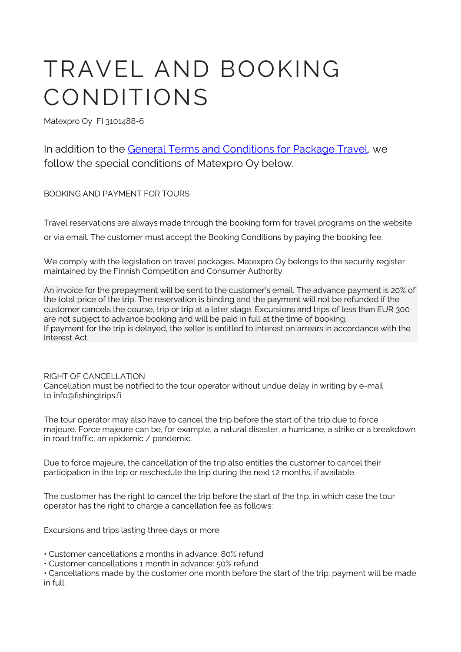# TRAVEL AND BOOKING CONDITIONS

Matexpro Oy FI 3101488-6

In addition to the [General Terms and Conditions for Package Travel,](https://www.kkv.fi/en/consumer-affairs/travel-and-accommodation/travel-packages-and-linked-travel-arrangements/general-terms-and-conditions-for-package-travel/) we follow the special conditions of Matexpro Oy below.

BOOKING AND PAYMENT FOR TOURS

Travel reservations are always made through the booking form for travel programs on the website

or via email. The customer must accept the Booking Conditions by paying the booking fee.

We comply with the legislation on travel packages. Matexpro Oy belongs to the security register maintained by the Finnish Competition and Consumer Authority.

An invoice for the prepayment will be sent to the customer's email. The advance payment is 20% of the total price of the trip. The reservation is binding and the payment will not be refunded if the customer cancels the course, trip or trip at a later stage. Excursions and trips of less than EUR 300 are not subject to advance booking and will be paid in full at the time of booking. If payment for the trip is delayed, the seller is entitled to interest on arrears in accordance with the Interest Act.

## RIGHT OF CANCELLATION

Cancellation must be notified to the tour operator without undue delay in writing by e-mail to info@fishingtrips.fi

The tour operator may also have to cancel the trip before the start of the trip due to force majeure. Force majeure can be, for example, a natural disaster, a hurricane, a strike or a breakdown in road traffic, an epidemic / pandemic.

Due to force majeure, the cancellation of the trip also entitles the customer to cancel their participation in the trip or reschedule the trip during the next 12 months, if available.

The customer has the right to cancel the trip before the start of the trip, in which case the tour operator has the right to charge a cancellation fee as follows:

Excursions and trips lasting three days or more

• Customer cancellations 2 months in advance: 80% refund

• Customer cancellations 1 month in advance: 50% refund

• Cancellations made by the customer one month before the start of the trip: payment will be made in full.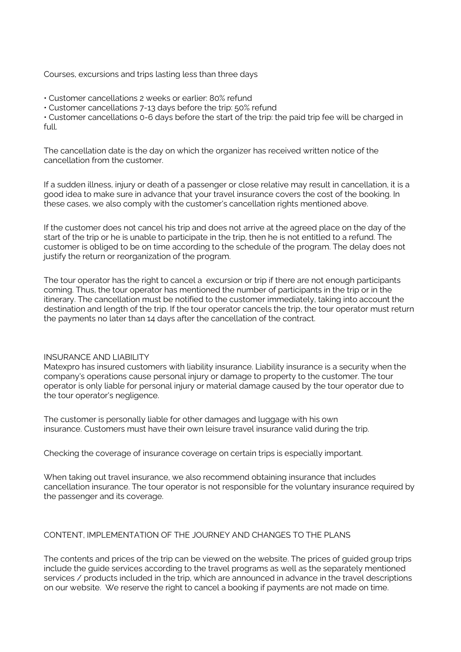Courses, excursions and trips lasting less than three days

• Customer cancellations 2 weeks or earlier: 80% refund

• Customer cancellations 7-13 days before the trip: 50% refund

• Customer cancellations 0-6 days before the start of the trip: the paid trip fee will be charged in full.

The cancellation date is the day on which the organizer has received written notice of the cancellation from the customer.

If a sudden illness, injury or death of a passenger or close relative may result in cancellation, it is a good idea to make sure in advance that your travel insurance covers the cost of the booking. In these cases, we also comply with the customer's cancellation rights mentioned above.

If the customer does not cancel his trip and does not arrive at the agreed place on the day of the start of the trip or he is unable to participate in the trip, then he is not entitled to a refund. The customer is obliged to be on time according to the schedule of the program. The delay does not justify the return or reorganization of the program.

The tour operator has the right to cancel a excursion or trip if there are not enough participants coming. Thus, the tour operator has mentioned the number of participants in the trip or in the itinerary. The cancellation must be notified to the customer immediately, taking into account the destination and length of the trip. If the tour operator cancels the trip, the tour operator must return the payments no later than 14 days after the cancellation of the contract.

## INSURANCE AND LIABILITY

Matexpro has insured customers with liability insurance. Liability insurance is a security when the company's operations cause personal injury or damage to property to the customer. The tour operator is only liable for personal injury or material damage caused by the tour operator due to the tour operator's negligence.

The customer is personally liable for other damages and luggage with his own insurance. Customers must have their own leisure travel insurance valid during the trip.

Checking the coverage of insurance coverage on certain trips is especially important.

When taking out travel insurance, we also recommend obtaining insurance that includes cancellation insurance. The tour operator is not responsible for the voluntary insurance required by the passenger and its coverage.

## CONTENT, IMPLEMENTATION OF THE JOURNEY AND CHANGES TO THE PLANS

The contents and prices of the trip can be viewed on the website. The prices of guided group trips include the guide services according to the travel programs as well as the separately mentioned services / products included in the trip, which are announced in advance in the travel descriptions on our website. We reserve the right to cancel a booking if payments are not made on time.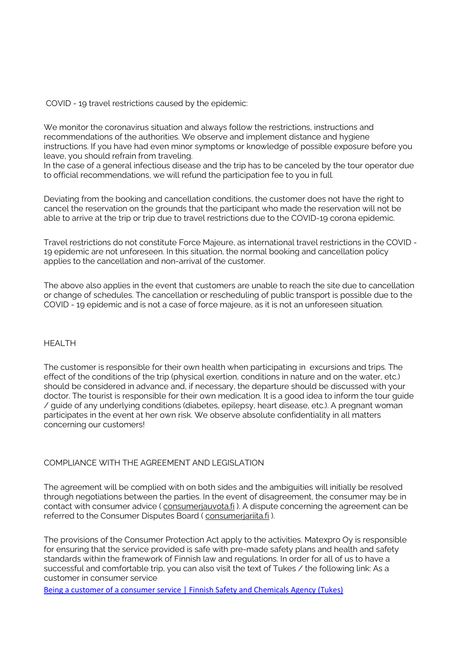COVID - 19 travel restrictions caused by the epidemic:

We monitor the coronavirus situation and always follow the restrictions, instructions and recommendations of the authorities. We observe and implement distance and hygiene instructions. If you have had even minor symptoms or knowledge of possible exposure before you leave, you should refrain from traveling.

In the case of a general infectious disease and the trip has to be canceled by the tour operator due to official recommendations, we will refund the participation fee to you in full.

Deviating from the booking and cancellation conditions, the customer does not have the right to cancel the reservation on the grounds that the participant who made the reservation will not be able to arrive at the trip or trip due to travel restrictions due to the COVID-19 corona epidemic.

Travel restrictions do not constitute Force Majeure, as international travel restrictions in the COVID - 19 epidemic are not unforeseen. In this situation, the normal booking and cancellation policy applies to the cancellation and non-arrival of the customer.

The above also applies in the event that customers are unable to reach the site due to cancellation or change of schedules. The cancellation or rescheduling of public transport is possible due to the COVID - 19 epidemic and is not a case of force majeure, as it is not an unforeseen situation.

#### HEALTH

The customer is responsible for their own health when participating in excursions and trips. The effect of the conditions of the trip (physical exertion, conditions in nature and on the water, etc.) should be considered in advance and, if necessary, the departure should be discussed with your doctor. The tourist is responsible for their own medication. It is a good idea to inform the tour guide / guide of any underlying conditions (diabetes, epilepsy, heart disease, etc.). A pregnant woman participates in the event at her own risk. We observe absolute confidentiality in all matters concerning our customers!

#### COMPLIANCE WITH THE AGREEMENT AND LEGISLATION

The agreement will be complied with on both sides and the ambiguities will initially be resolved through negotiations between the parties. In the event of disagreement, the consumer may be in contact with consumer advice ( [consumerjauvota.fi](http://kuluttajaneuvota.fi/) ). A dispute concerning the agreement can be referred to the Consumer Disputes Board ( [consumerjariita.fi](http://kuluttajariita.fi/) ).

The provisions of the Consumer Protection Act apply to the activities. Matexpro Oy is responsible for ensuring that the service provided is safe with pre-made safety plans and health and safety standards within the framework of Finnish law and regulations. In order for all of us to have a successful and comfortable trip, you can also visit the text of Tukes / the following link: As a customer in consumer service

[Being a customer of a consumer service | Finnish Safety and Chemicals Agency \(Tukes\)](https://tukes.fi/en/home-and-leisure-time/hobbies-and-activities/being-a-customer-of-a-consumer-service)